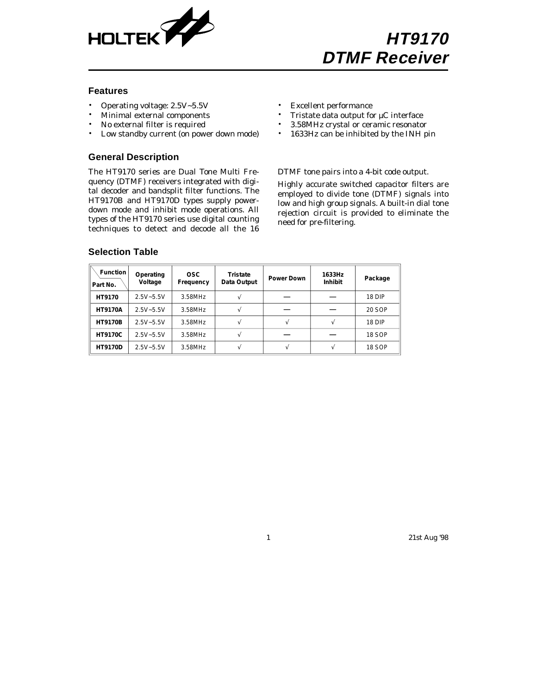

#### **Features**

- Operating voltage: 2.5V~5.5V
- Minimal external components
- No external filter is required
- Low standby current (on power down mode)

#### **General Description**

The HT9170 series are Dual Tone Multi Frequency (DTMF) receivers integrated with digital decoder and bandsplit filter functions. The HT9170B and HT9170D types supply powerdown mode and inhibit mode operations. All types of the HT9170 series use digital counting techniques to detect and decode all the 16

- Excellent performance
- Tristate data output for  $\mu$ C interface
- 3.58MHz crystal or ceramic resonator
- 1633Hz can be inhibited by the INH pin

DTMF tone pairs into a 4-bit code output.

Highly accurate switched capacitor filters are employed to divide tone (DTMF) signals into low and high group signals. A built-in dial tone rejection circuit is provided to eliminate the need for pre-filtering.

| <b>Function</b><br>Part No. | Operating<br>Voltage | <b>OSC</b><br>Frequency | Tristate<br>Data Output | <b>Power Down</b> | 1633Hz<br>Inhibit | Package       |
|-----------------------------|----------------------|-------------------------|-------------------------|-------------------|-------------------|---------------|
| HT9170                      | $2.5V - 5.5V$        | 3.58MHz                 |                         |                   |                   | 18 DIP        |
| <b>HT9170A</b>              | $2.5V - 5.5V$        | 3.58MHz                 |                         |                   |                   | 20 SOP        |
| <b>HT9170B</b>              | $2.5V - 5.5V$        | 3.58MHz                 |                         |                   |                   | 18 DIP        |
| <b>HT9170C</b>              | $2.5V - 5.5V$        | 3.58MHz                 |                         |                   |                   | 18 SOP        |
| <b>HT9170D</b>              | $2.5V - 5.5V$        | 3.58MHz                 |                         |                   |                   | <b>18 SOP</b> |

#### **Selection Table**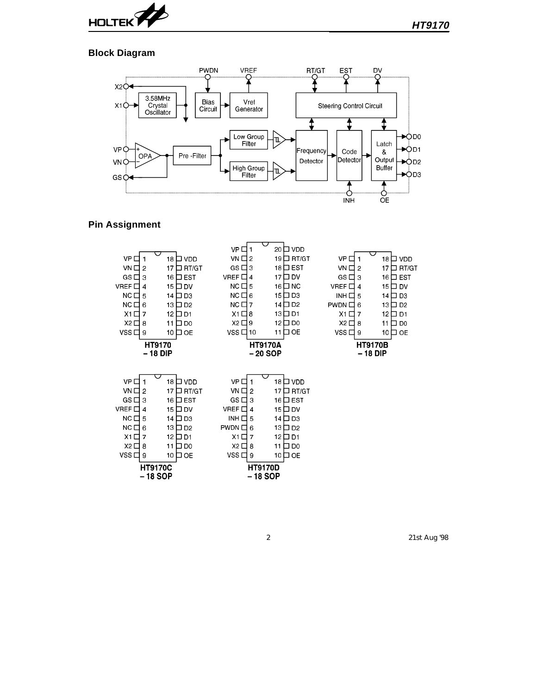

### **Block Diagram**



### **Pin Assignment**

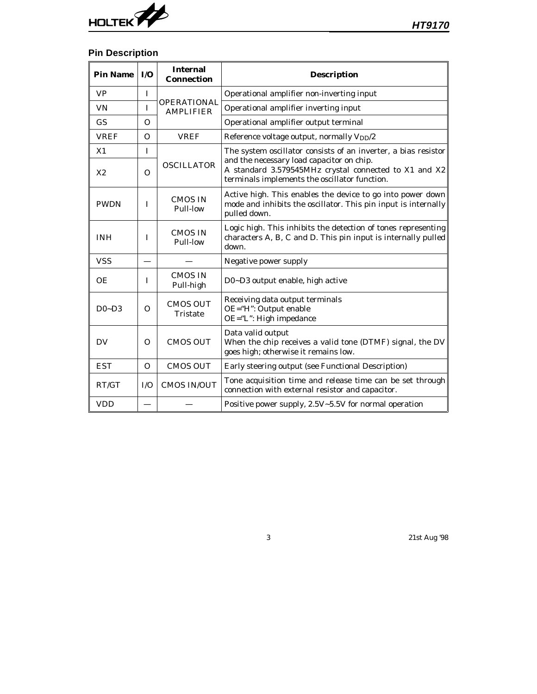

# **Pin Description**

| <b>Pin Name</b> | I/O      | <b>Internal</b><br><b>Connection</b>   | <b>Description</b>                                                                                                                                  |
|-----------------|----------|----------------------------------------|-----------------------------------------------------------------------------------------------------------------------------------------------------|
| <b>VP</b>       | T        |                                        | Operational amplifier non-inverting input                                                                                                           |
| <b>VN</b>       | I        | <b>OPERATIONAL</b><br><b>AMPLIFIER</b> | Operational amplifier inverting input                                                                                                               |
| <b>GS</b>       | 0        |                                        | Operational amplifier output terminal                                                                                                               |
| <b>VREF</b>     | $\Omega$ | <b>VREF</b>                            | Reference voltage output, normally V <sub>DD</sub> /2                                                                                               |
| X1              | I        |                                        | The system oscillator consists of an inverter, a bias resistor                                                                                      |
| X <sub>2</sub>  | $\Omega$ | <b>OSCILLATOR</b>                      | and the necessary load capacitor on chip.<br>A standard 3.579545MHz crystal connected to X1 and X2<br>terminals implements the oscillator function. |
| <b>PWDN</b>     | I        | <b>CMOS IN</b><br>Pull-low             | Active high. This enables the device to go into power down<br>mode and inhibits the oscillator. This pin input is internally<br>pulled down.        |
| <b>INH</b>      | I        | <b>CMOS IN</b><br>Pull-low             | Logic high. This inhibits the detection of tones representing<br>characters A, B, C and D. This pin input is internally pulled<br>down.             |
| <b>VSS</b>      |          |                                        | Negative power supply                                                                                                                               |
| OE              | I        | <b>CMOS IN</b><br>Pull-high            | D0~D3 output enable, high active                                                                                                                    |
| $D0 - D3$       | $\Omega$ | <b>CMOS OUT</b><br><b>Tristate</b>     | Receiving data output terminals<br>OE="H": Output enable<br>OE="L": High impedance                                                                  |
| DV              | $\Omega$ | <b>CMOS OUT</b>                        | Data valid output<br>When the chip receives a valid tone (DTMF) signal, the DV<br>goes high; otherwise it remains low.                              |
| <b>EST</b>      | $\Omega$ | <b>CMOS OUT</b>                        | Early steering output (see Functional Description)                                                                                                  |
| RT/GT           | I/O      | <b>CMOS IN/OUT</b>                     | Tone acquisition time and release time can be set through<br>connection with external resistor and capacitor.                                       |
| <b>VDD</b>      |          |                                        | Positive power supply, 2.5V~5.5V for normal operation                                                                                               |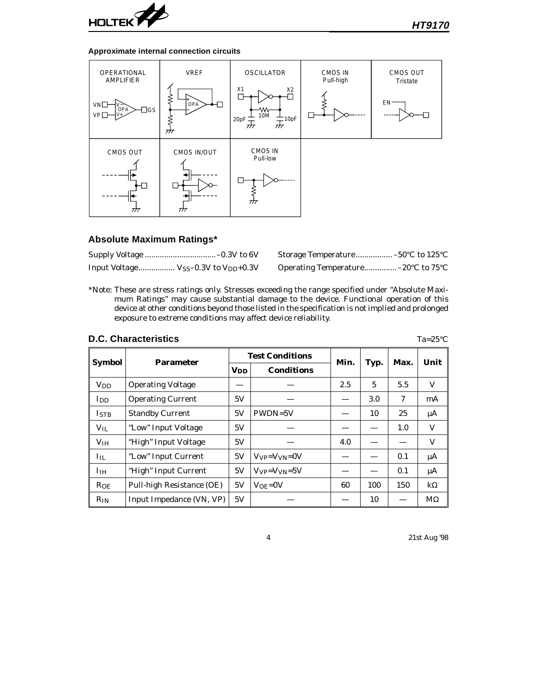

#### **Approximate internal connection circuits**



### **Absolute Maximum Ratings\***

|                                                              | Storage Temperature –50°C to 125°C                                |  |
|--------------------------------------------------------------|-------------------------------------------------------------------|--|
| Input Voltage V <sub>SS</sub> -0.3V to V <sub>DD</sub> +0.3V | Operating Temperature –20 $\rm{^{\circ}C}$ to 75 $\rm{^{\circ}C}$ |  |

\*Note: These are stress ratings only. Stresses exceeding the range specified under "Absolute Maximum Ratings" may cause substantial damage to the device. Functional operation of this device at other conditions beyond those listed in the specification is not implied and prolonged exposure to extreme conditions may affect device reliability.

# **D.C. Characteristics**

| × |  |  |
|---|--|--|
|   |  |  |

| Symbol                |                           |                       | <b>Test Conditions</b>         | Min. |      | Max. | Unit      |
|-----------------------|---------------------------|-----------------------|--------------------------------|------|------|------|-----------|
|                       | Parameter                 | <b>V<sub>DD</sub></b> | <b>Conditions</b>              |      | Typ. |      |           |
| <b>V<sub>DD</sub></b> | <b>Operating Voltage</b>  |                       |                                | 2.5  | 5    | 5.5  | V         |
| I <sub>DD</sub>       | <b>Operating Current</b>  | 5V                    |                                |      | 3.0  | 7    | mA        |
| <b>ISTB</b>           | <b>Standby Current</b>    | 5V                    | $PWDN=5V$                      |      | 10   | 25   | μA        |
| $V_{IL}$              | "Low" Input Voltage       | 5V                    |                                |      |      | 1.0  | V         |
| V <sub>IH</sub>       | "High" Input Voltage      | 5V                    |                                | 4.0  |      |      | V         |
| $I_{IL}$              | "Low" Input Current       | 5V                    | $V_{VP} = V_{VN} = 0V$         |      |      | 0.1  | μA        |
| I <sub>IH</sub>       | "High" Input Current      | 5V                    | $V_{VP} = V_{VN} = 5V$         |      |      | 0.1  | μA        |
| $R_{OE}$              | Pull-high Resistance (OE) | 5V                    | $\mathrm{V}$ oe= $\mathrm{0V}$ | 60   | 100  | 150  | $k\Omega$ |
| $R_{IN}$              | Input Impedance (VN, VP)  | 5V                    |                                |      | 10   |      | $M\Omega$ |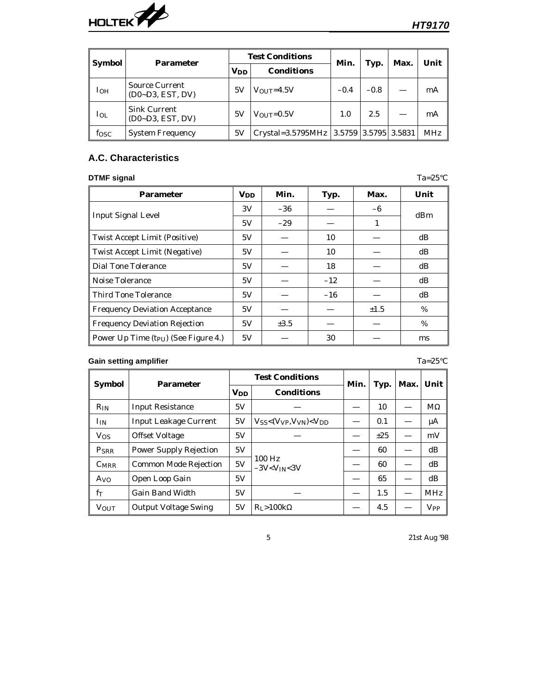

| Symbol<br><b>Parameter</b> |                                           |                       | <b>Test Conditions</b>                       |        |        | Max. | Unit       |  |
|----------------------------|-------------------------------------------|-----------------------|----------------------------------------------|--------|--------|------|------------|--|
|                            |                                           | <b>V<sub>DD</sub></b> | <b>Conditions</b>                            | Min.   | Typ.   |      |            |  |
| I <sub>OH</sub>            | Source Current<br>$(D0-D3, EST, DV)$      | 5V                    | $V_{\text{OUT}}=4.5V$                        | $-0.4$ | $-0.8$ |      | mA         |  |
| $I_{OL}$                   | <b>Sink Current</b><br>$(D0-D3, EST, DV)$ | 5V                    | $V_{\text{OUT}}=0.5V$                        | 1.0    | 2.5    |      | mA         |  |
| f <sub>OSC</sub>           | <b>System Frequency</b>                   | 5V                    | Crystal=3.5795MHz   3.5759   3.5795   3.5831 |        |        |      | <b>MHz</b> |  |

# **A.C. Characteristics**

### **DTMF signal** Ta=25°C

| <b>Parameter</b>                                 | <b>V<sub>DD</sub></b> | Min.      | Typ.  | Max.      | Unit     |  |
|--------------------------------------------------|-----------------------|-----------|-------|-----------|----------|--|
|                                                  | 3V                    | $-36$     |       | $-6$      | dBm      |  |
| <b>Input Signal Level</b>                        | 5V                    | $-29$     |       | 1         |          |  |
| <b>Twist Accept Limit (Positive)</b>             | 5V                    |           | 10    |           | dB       |  |
| <b>Twist Accept Limit (Negative)</b>             | 5V                    |           | 10    |           | dB       |  |
| <b>Dial Tone Tolerance</b>                       | 5V                    |           | 18    |           | dB       |  |
| Noise Tolerance                                  | 5V                    |           | $-12$ |           | $\rm dB$ |  |
| <b>Third Tone Tolerance</b>                      | 5V                    |           | $-16$ |           | $\rm dB$ |  |
| <b>Frequency Deviation Acceptance</b>            | 5V                    |           |       | $\pm 1.5$ | $\%$     |  |
| <b>Frequency Deviation Rejection</b>             | 5V                    | $\pm 3.5$ |       |           | $\%$     |  |
| Power Up Time (t <sub>PU</sub> ) (See Figure 4.) | 5V                    |           | 30    |           | ms       |  |

# **Gain setting amplifier** Ta=25°C

| <b>Symbol</b>         | <b>Parameter</b>              |                       | <b>Test Conditions</b>                   | Min. | Typ.     | Max. | Unit                  |
|-----------------------|-------------------------------|-----------------------|------------------------------------------|------|----------|------|-----------------------|
|                       |                               | <b>V<sub>DD</sub></b> | <b>Conditions</b>                        |      |          |      |                       |
| $R_{IN}$              | <b>Input Resistance</b>       | 5V                    |                                          |      | 10       |      | $M\Omega$             |
| I <sub>IN</sub>       | <b>Input Leakage Current</b>  | 5V                    | $V_{SS}$ < $(V_{VP}, V_{VN})$ < $V_{DD}$ |      | 0.1      |      | μA                    |
| <b>V<sub>OS</sub></b> | <b>Offset Voltage</b>         | 5V                    |                                          |      | $\pm 25$ |      | mV                    |
| PSRR                  | <b>Power Supply Rejection</b> | 5V                    |                                          |      | 60       |      | dB                    |
| <b>CMRR</b>           | <b>Common Mode Rejection</b>  | 5V                    | $100$ Hz<br>$-3V< V$ <sub>IN</sub> <3V   |      | 60       |      | dB                    |
| A <sub>VO</sub>       | <b>Open Loop Gain</b>         | 5V                    |                                          |      | 65       |      | $\rm dB$              |
| $f_T$                 | <b>Gain Band Width</b>        | 5V                    |                                          |      | 1.5      |      | <b>MHz</b>            |
| <b>VOUT</b>           | <b>Output Voltage Swing</b>   | 5V                    | $R_I > 100k\Omega$                       |      | 4.5      |      | <b>V<sub>PP</sub></b> |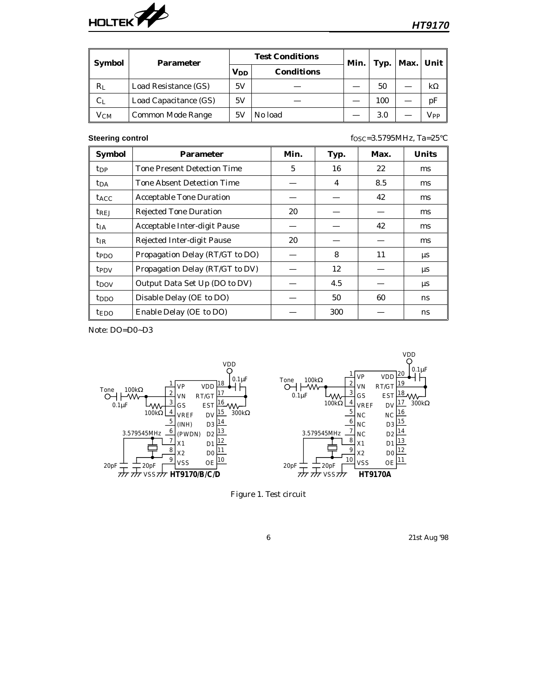

| <b>Symbol</b> | <b>Parameter</b>         |                        | <b>Test Conditions</b> | Min. | Typ. | Max. | Unit     |
|---------------|--------------------------|------------------------|------------------------|------|------|------|----------|
|               |                          | <b>V</b> <sub>DD</sub> | <b>Conditions</b>      |      |      |      |          |
| $R_{L}$       | Load Resistance (GS)     | 5V                     |                        |      | 50   |      | kΩ       |
| $C_{L}$       | Load Capacitance (GS)    | 5V                     |                        |      | 100  |      | рF       |
| $\rm V_{CM}$  | <b>Common Mode Range</b> | 5V                     | No load                |      | 3.0  |      | $V_{PP}$ |

**Steering control** f<sub>OSC</sub>=3.5795MHz, Ta=25°C

| <b>Symbol</b>           | <b>Parameter</b>                   | Min. | Typ. | Max. | <b>Units</b> |
|-------------------------|------------------------------------|------|------|------|--------------|
| <b>t</b> <sub>DP</sub>  | <b>Tone Present Detection Time</b> | 5    | 16   | 22   | ms           |
| <b>t</b> <sub>DA</sub>  | <b>Tone Absent Detection Time</b>  |      | 4    | 8.5  | ms           |
| <b>t</b> <sub>ACC</sub> | <b>Acceptable Tone Duration</b>    |      |      | 42   | ms           |
| trej                    | <b>Rejected Tone Duration</b>      | 20   |      |      | ms           |
| <b>t</b> <sub>I</sub> A | Acceptable Inter-digit Pause       |      |      | 42   | ms           |
| $t_{IR}$                | <b>Rejected Inter-digit Pause</b>  | 20   |      |      | ms           |
| t <sub>PDO</sub>        | Propagation Delay (RT/GT to DO)    |      | 8    | 11   | μs           |
| <b>t</b> <sub>PDV</sub> | Propagation Delay (RT/GT to DV)    |      | 12   |      | μs           |
| t <sub>DOV</sub>        | Output Data Set Up (DO to DV)      |      | 4.5  |      | $\mu s$      |
| t <sub>DDO</sub>        | Disable Delay (OE to DO)           |      | 50   | 60   | ns           |
| <b>tedo</b>             | Enable Delay (OE to DO)            |      | 300  |      | ns           |

Note: DO=D0~D3



Figure 1. Test circuit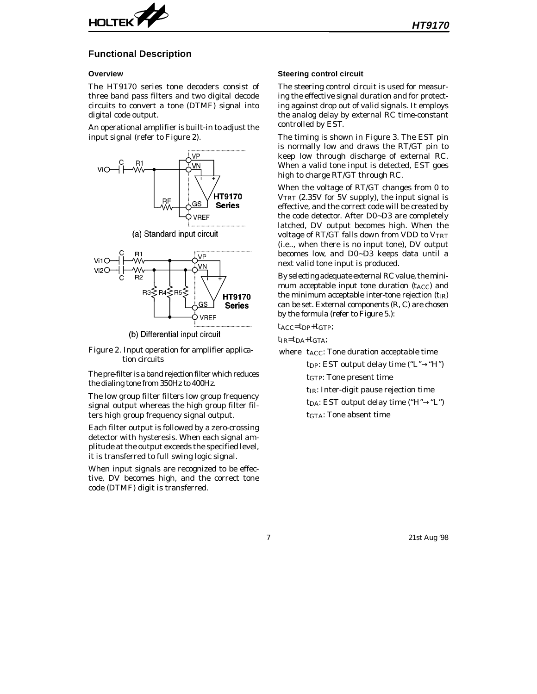

#### **Functional Description**

#### **Overview**

The HT9170 series tone decoders consist of three band pass filters and two digital decode circuits to convert a tone (DTMF) signal into digital code output.

An operational amplifier is built-in to adjust the input signal (refer to Figure 2).



(b) Differential input circuit

GS

VREF

**Series** 

Figure 2. Input operation for amplifier applica tion circuits

The pre-filter is a band rejection filter which reduces the dialing tone from 350Hz to 400Hz.

The low group filter filters low group frequency signal output whereas the high group filter filters high group frequency signal output.

Each filter output is followed by a zero-crossing detector with hysteresis. When each signal amplitude at the output exceeds the specified level, it is transferred to full swing logic signal.

When input signals are recognized to be effective, DV becomes high, and the correct tone code (DTMF) digit is transferred.

#### **Steering control circuit**

The steering control circuit is used for measuring the effective signal duration and for protecting against drop out of valid signals. It employs the analog delay by external RC time-constant controlled by EST.

The timing is shown in Figure 3. The EST pin is normally low and draws the RT/GT pin to keep low through discharge of external RC. When a valid tone input is detected, EST goes high to charge RT/GT through RC.

When the voltage of RT/GT changes from 0 to VTRT (2.35V for 5V supply), the input signal is effective, and the correct code will be created by the code detector. After D0~D3 are completely latched, DV output becomes high. When the voltage of RT/GT falls down from VDD to  $V_{TRT}$ (i.e.., when there is no input tone), DV output becomes low, and D0~D3 keeps data until a next valid tone input is produced.

By selecting adequate external RC value, the minimum acceptable input tone duration  $(t_{ACC})$  and the minimum acceptable inter-tone rejection  $(t_{IR})$ can be set. External components (R, C) are chosen by the formula (refer to Figure 5.):

tACC=tDP+tGTP;

 $t_{IR} = t_{DA} + t_{GTA}$ ;

where t<sub>ACC</sub>: Tone duration acceptable time tpp: EST output delay time  $("L" \rightarrow "H")$ 

tGTP: Tone present time

- t<sub>IR</sub>: Inter-digit pause rejection time
- t<sub>DA</sub>: EST output delay time ("H" $\rightarrow$ "L")

tGTA: Tone absent time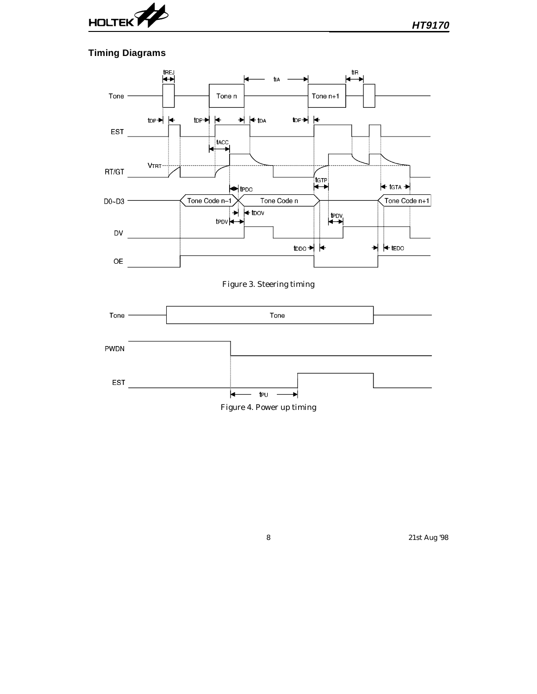

# **Timing Diagrams**



Figure 3. Steering timing



Figure 4. Power up timing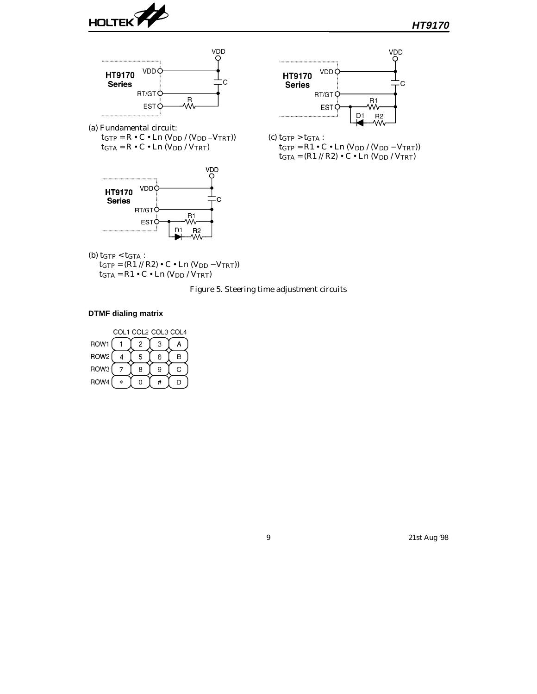





(a) Fundamental circuit:  $tGTP = R \bullet C \bullet Ln (VDD / (VDD - VTRT))$  $\rm t_{GTA} = R \bullet C \bullet Ln$  (V<sub>DD</sub> / V<sub>TRT</sub>)





(c)  $tGTP > tGTA$ :  $tGTP = R1 \cdot C \cdot Ln (V_{DD} / (V_{DD} - V_{TRT}))$  $\rm t_{GTA} = (R1$  //  $R2)$   $\bullet$  C  $\bullet$  Ln  $(\rm V_{DD}$  /  $\rm V_{TRT})$ 

(b)  $t$ GTP <  $t$ GTA :

 $\rm t_{GTP}=(R1$  //  $R2)$  • C • Ln  $(\rm V_{DD}-\rm V_{TRT}))$  $\rm t_{GTA} = R1 \bullet C \bullet Ln$  (V<sub>DD</sub> / V<sub>TRT</sub>)

Figure 5. Steering time adjustment circuits

### **DTMF dialing matrix**

| COL1 COL2 COL3 COL4 |    |   |   |   |  |  |  |  |
|---------------------|----|---|---|---|--|--|--|--|
| ROW1                |    | 2 | 3 | Α |  |  |  |  |
| ROW <sub>2</sub>    |    | 5 | 6 | В |  |  |  |  |
| ROW <sub>3</sub>    |    | 8 | 9 | C |  |  |  |  |
| ROW4                | ×, |   |   |   |  |  |  |  |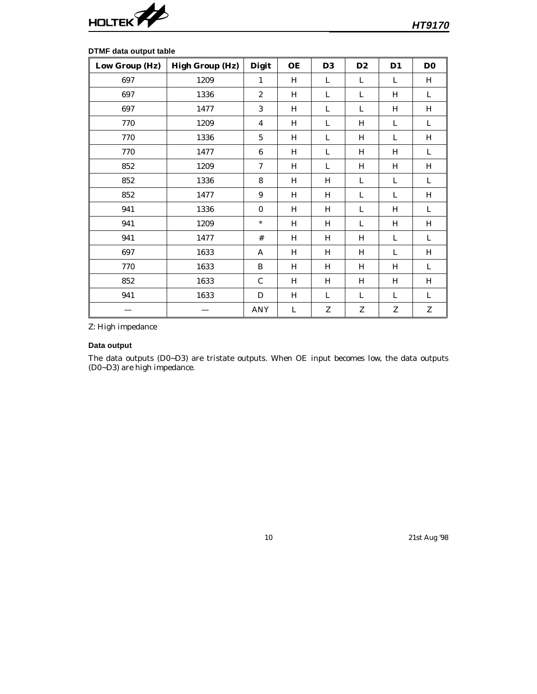

| Low Group (Hz) | <b>High Group (Hz)</b> | <b>Digit</b>     | <b>OE</b> | D <sub>3</sub> | D <sub>2</sub> | $D1$ | D <sub>0</sub>            |
|----------------|------------------------|------------------|-----------|----------------|----------------|------|---------------------------|
| 697            | 1209                   | $\mathbf{1}$     | H         | L              | L              | L    | H                         |
| 697            | 1336                   | $\boldsymbol{2}$ | H         | L              | L              | H    | L                         |
| 697            | 1477                   | 3                | H         | L              | L              | H    | H                         |
| 770            | 1209                   | 4                | H         | L              | H              | L    | L                         |
| 770            | 1336                   | $\mathbf 5$      | H         | L              | H              | L    | $H_{\rm}$                 |
| 770            | 1477                   | $\boldsymbol{6}$ | H         | L              | H              | H    | L                         |
| 852            | 1209                   | 7                | H         | L              | H              | H    | $\boldsymbol{\mathrm{H}}$ |
| 852            | 1336                   | 8                | H         | H              | L              | L    | L                         |
| 852            | 1477                   | $\boldsymbol{9}$ | H         | H              | L              | L    | H                         |
| 941            | 1336                   | $\bf{0}$         | H         | H              | L              | H    | L                         |
| 941            | 1209                   | $\ast$           | H         | H              | L              | H    | H                         |
| 941            | 1477                   | #                | H         | H              | H              | L    | L                         |
| 697            | 1633                   | A                | H         | H              | H              | L    | H                         |
| 770            | 1633                   | B                | H         | H              | H              | H    | L                         |
| 852            | 1633                   | $\mathbf C$      | H         | H              | H              | H    | $\, {\rm H}$              |
| 941            | 1633                   | D                | H         | L              | L              | L    | L                         |
|                |                        | <b>ANY</b>       | L         | ${\bf Z}$      | Z              | Z    | ${\bf Z}$                 |

#### **DTMF data output table**

Z: High impedance

#### **Data output**

The data outputs (D0~D3) are tristate outputs. When OE input becomes low, the data outputs (D0~D3) are high impedance.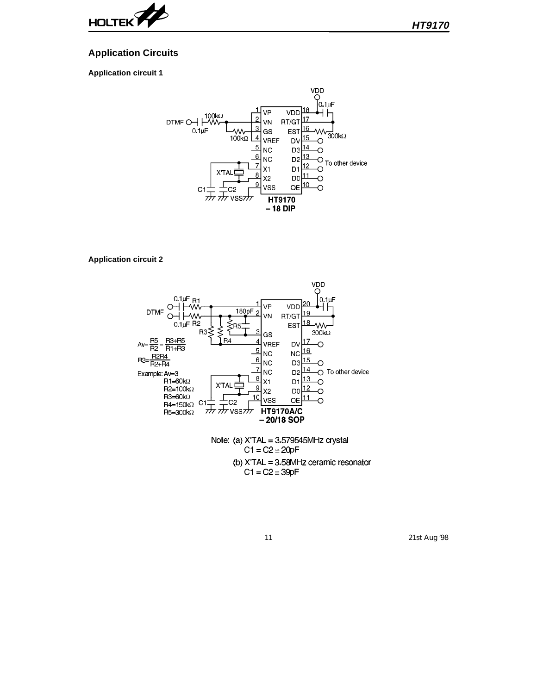

### **Application Circuits**

#### **Application circuit 1**



#### **Application circuit 2**



 $C1 = C2 \approx 20pF$ (b) X'TAL = 3.58MHz ceramic resonator  $C1 = C2 \approx 39pF$